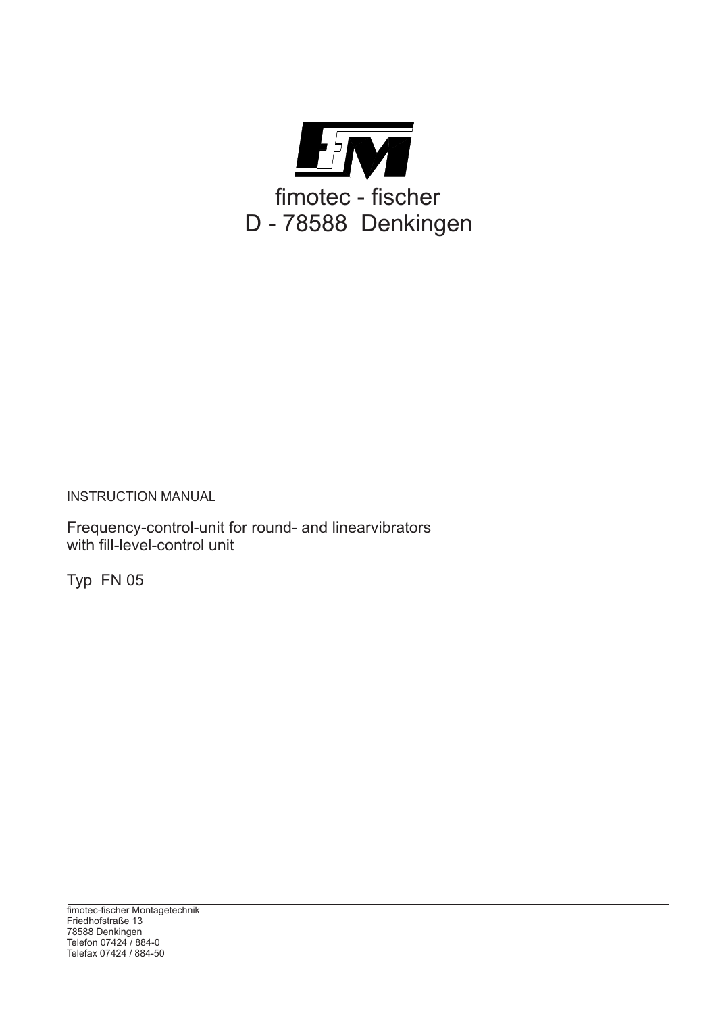

INSTRUCTION MANUAL

Frequency-control-unit for round- and linearvibrators with fill-level-control unit

Typ FN 05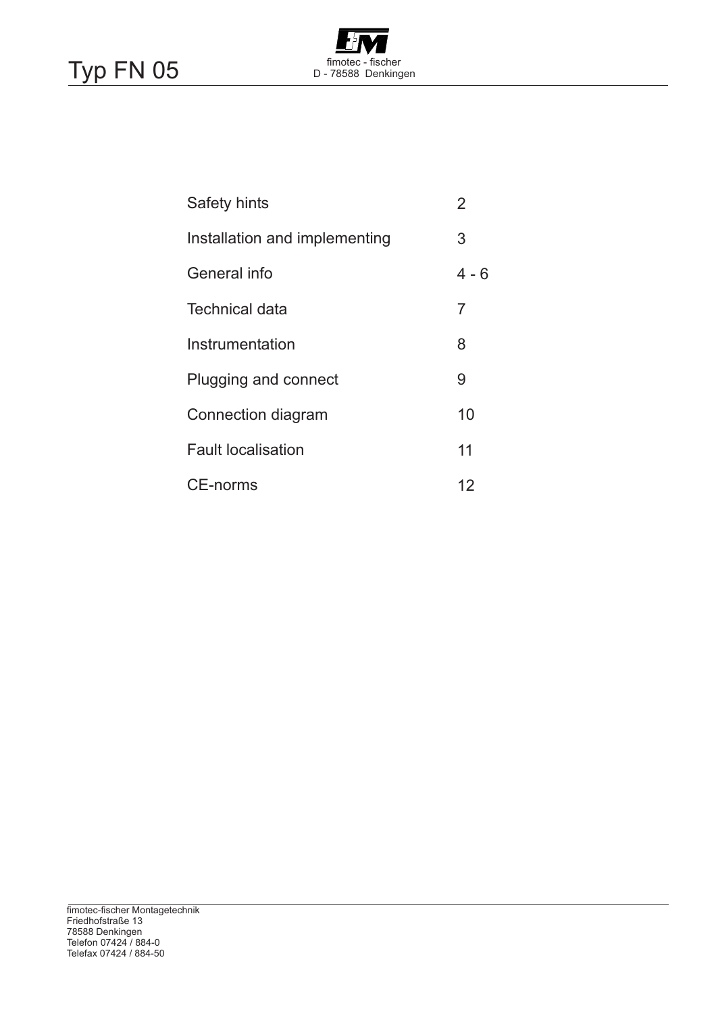# Typ FN 05



| <b>Safety hints</b>           | $\overline{2}$ |
|-------------------------------|----------------|
| Installation and implementing | 3              |
| General info                  | $4 - 6$        |
| Technical data                | 7              |
| Instrumentation               | 8              |
| Plugging and connect          | 9              |
| Connection diagram            | 10             |
| <b>Fault localisation</b>     | 11             |
| <b>CE-norms</b>               | 12             |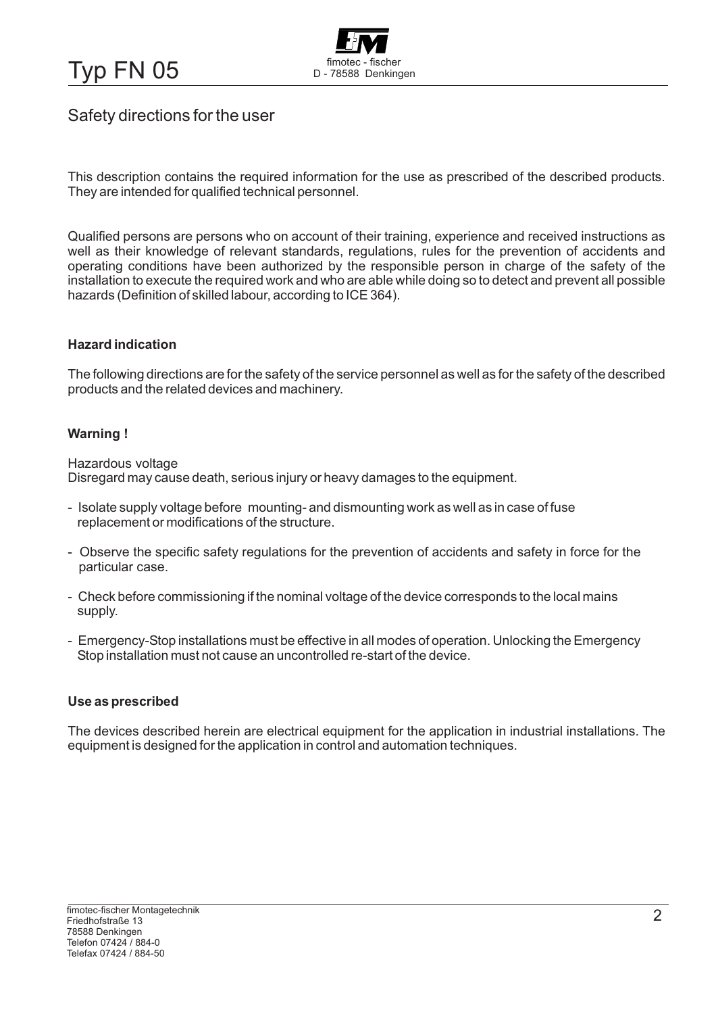Typ FN 05 fimotec - fischer



### Safety directions for the user

This description contains the required information for the use as prescribed of the described products. They are intended for qualified technical personnel.

Qualified persons are persons who on account of their training, experience and received instructions as well as their knowledge of relevant standards, regulations, rules for the prevention of accidents and operating conditions have been authorized by the responsible person in charge of the safety of the installation to execute the required work and who are able while doing so to detect and prevent all possible hazards (Definition of skilled labour, according to ICE 364).

#### **Hazard indication**

The following directions are for the safety of the service personnel as well as for the safety of the described products and the related devices and machinery.

#### **Warning !**

Hazardous voltage Disregard may cause death, serious injury or heavy damages to the equipment.

- Isolate supply voltage before mounting- and dismounting work as well as in case of fuse replacement or modifications of the structure.
- Observe the specific safety regulations for the prevention of accidents and safety in force for the particular case.
- Check before commissioning if the nominal voltage of the device corresponds to the local mains supply.
- Emergency-Stop installations must be effective in all modes of operation. Unlocking the Emergency Stop installation must not cause an uncontrolled re-start of the device.

#### **Use as prescribed**

The devices described herein are electrical equipment for the application in industrial installations. The equipment is designed for the application in control and automation techniques.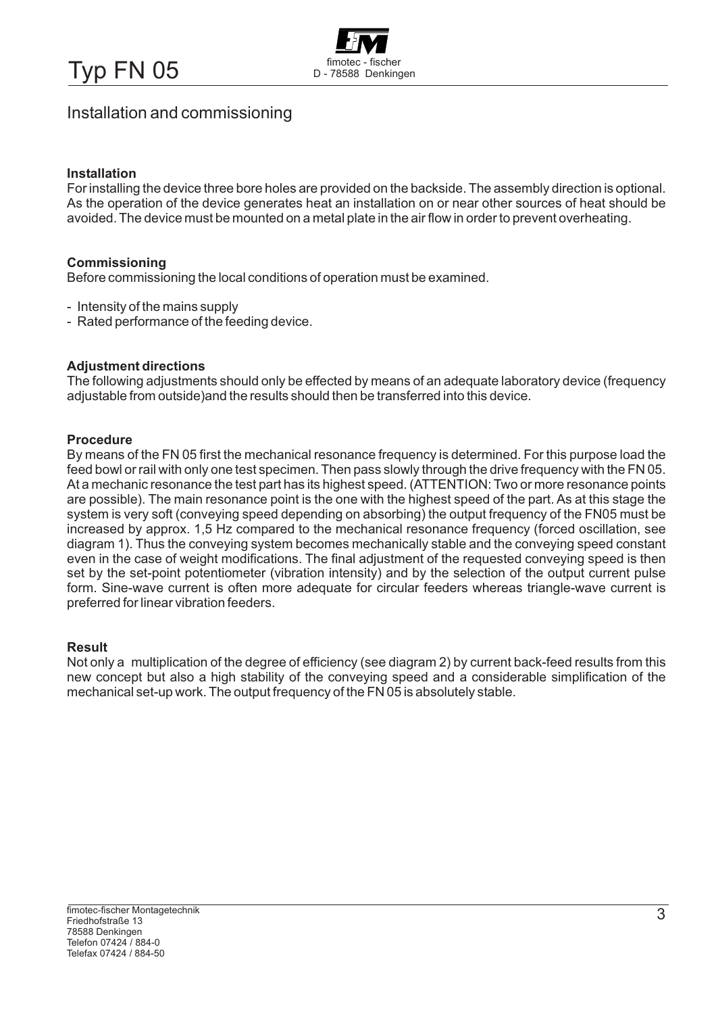Typ FN 05 fimotec - fischer



### Installation and commissioning

#### **Installation**

For installing the device three bore holes are provided on the backside. The assembly direction is optional. As the operation of the device generates heat an installation on or near other sources of heat should be avoided. The device must be mounted on a metal plate in the air flow in order to prevent overheating.

#### **Commissioning**

Before commissioning the local conditions of operation must be examined.

- Intensity of the mains supply
- Rated performance of the feeding device.

#### **Adjustment directions**

The following adjustments should only be effected by means of an adequate laboratory device (frequency adjustable from outside)and the results should then be transferred into this device.

#### **Procedure**

By means of the FN 05 first the mechanical resonance frequency is determined. For this purpose load the feed bowl or rail with only one test specimen. Then pass slowly through the drive frequency with the FN 05. At a mechanic resonance the test part has its highest speed. (ATTENTION: Two or more resonance points are possible). The main resonance point is the one with the highest speed of the part. As at this stage the system is very soft (conveying speed depending on absorbing) the output frequency of the FN05 must be increased by approx. 1,5 Hz compared to the mechanical resonance frequency (forced oscillation, see diagram 1). Thus the conveying system becomes mechanically stable and the conveying speed constant even in the case of weight modifications. The final adjustment of the requested conveying speed is then set by the set-point potentiometer (vibration intensity) and by the selection of the output current pulse form. Sine-wave current is often more adequate for circular feeders whereas triangle-wave current is preferred for linear vibration feeders.

#### **Result**

Not only a multiplication of the degree of efficiency (see diagram 2) by current back-feed results from this new concept but also a high stability of the conveying speed and a considerable simplification of the mechanical set-up work. The output frequency of the FN 05 is absolutely stable.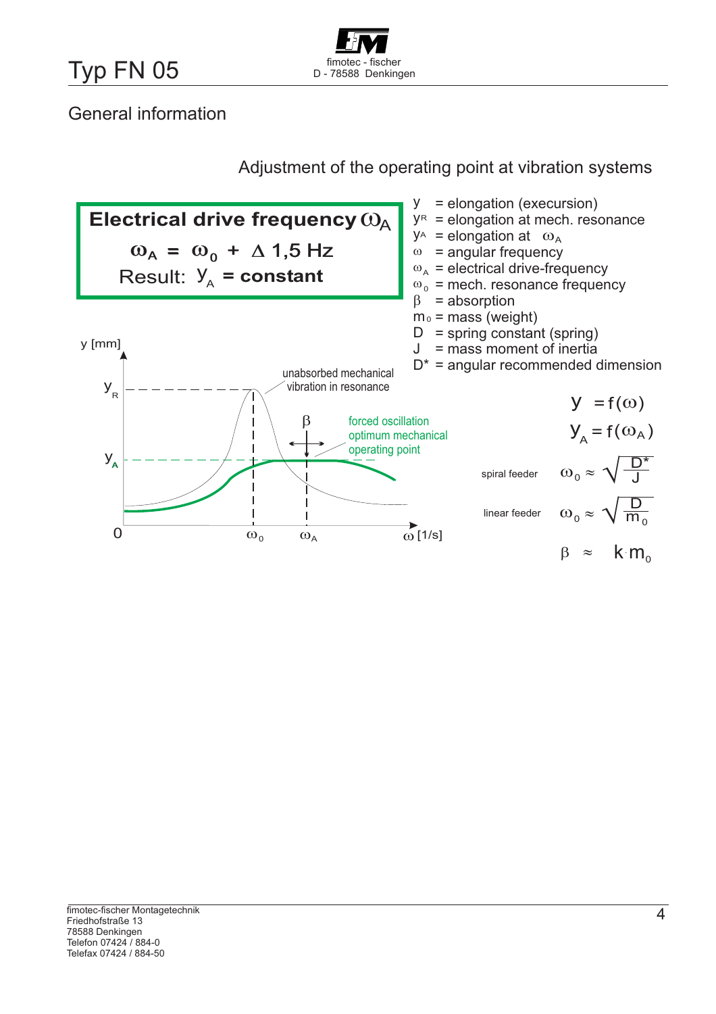

## General information

### Adjustment of the operating point at vibration systems

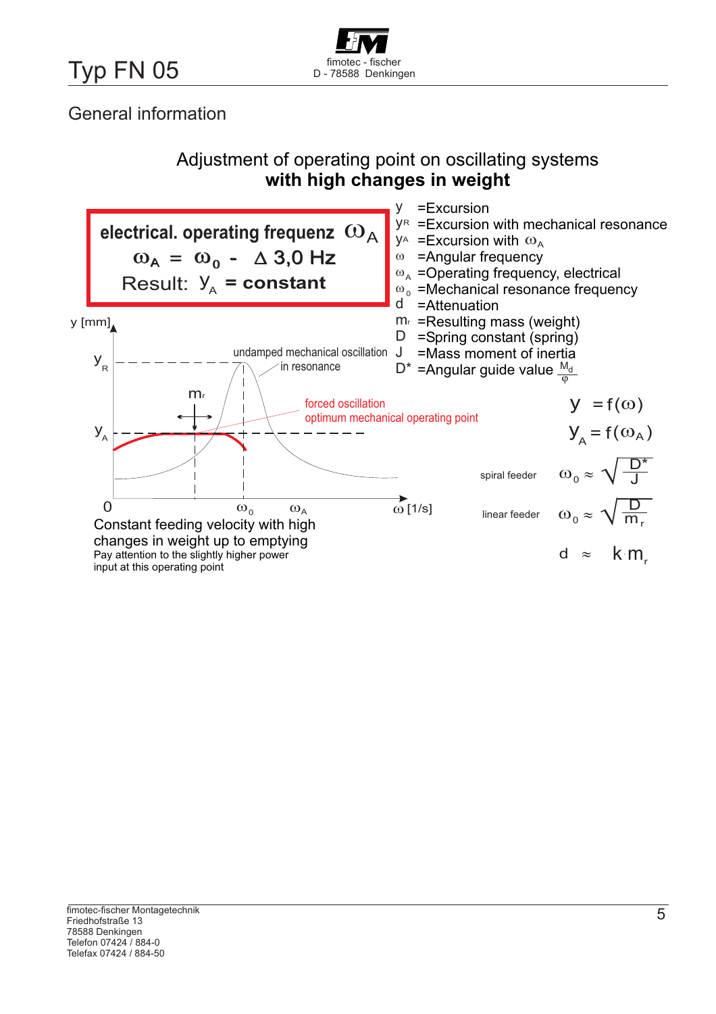

## General information

### Adjustment of operating point on oscillating systems **with high changes in weight**

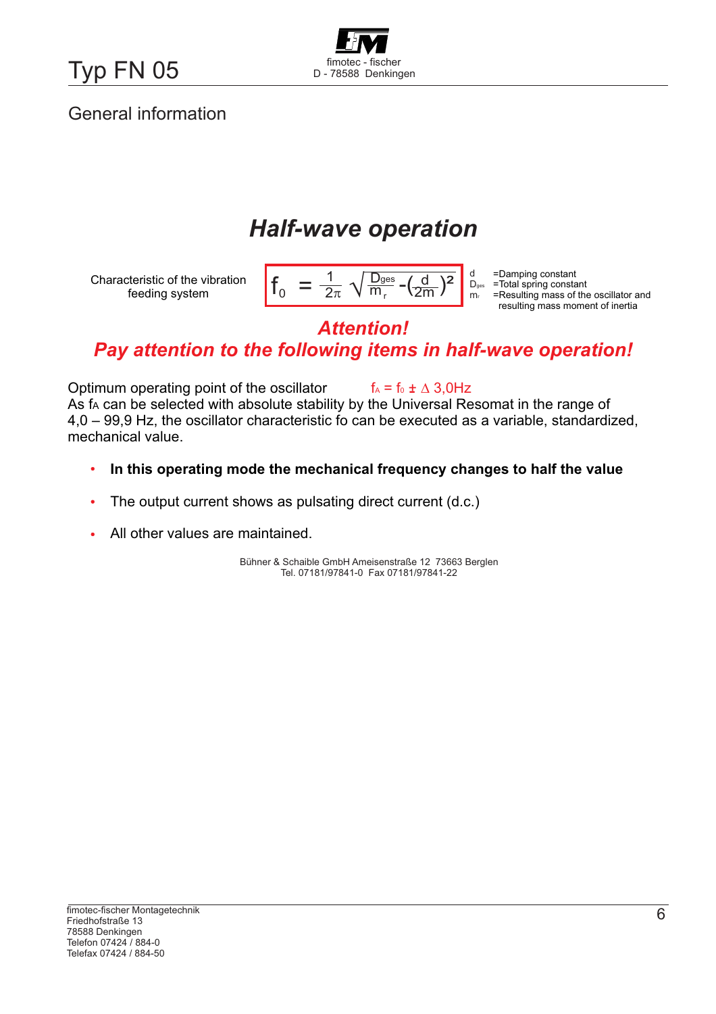Typ FN 05 Manusch D - 78588 Denkingen



## General information

# *Half-wave operation*

| 'aes | $\boldsymbol{\cup}$ aes<br>m <sub>r</sub> |
|------|-------------------------------------------|
|      |                                           |

=Damping constant =Total spring constant =Resulting mass of the oscillator and resulting mass moment of inertia

### **Attention!** *Attention! Pay attention to the following items in half-wave operation!*

Optimum operating point of the oscillator As fʌ can be selected with absolute stability by the Universal Resomat in the range of 4,0 – 99,9 Hz, the oscillator characteristic fo can be executed as a variable, standardized, mechanical value.  $f_A = f_0 \pm \Delta 3,0$ Hz

- **In this operating mode the mechanical frequency changes to half the value**  $\bullet$
- The output current shows as pulsating direct current (d.c.)  $\bullet$
- All other values are maintained.  $\bullet$

Bühner & Schaible GmbH Ameisenstraße 12 73663 Berglen Tel. 07181/97841-0 Fax 07181/97841-22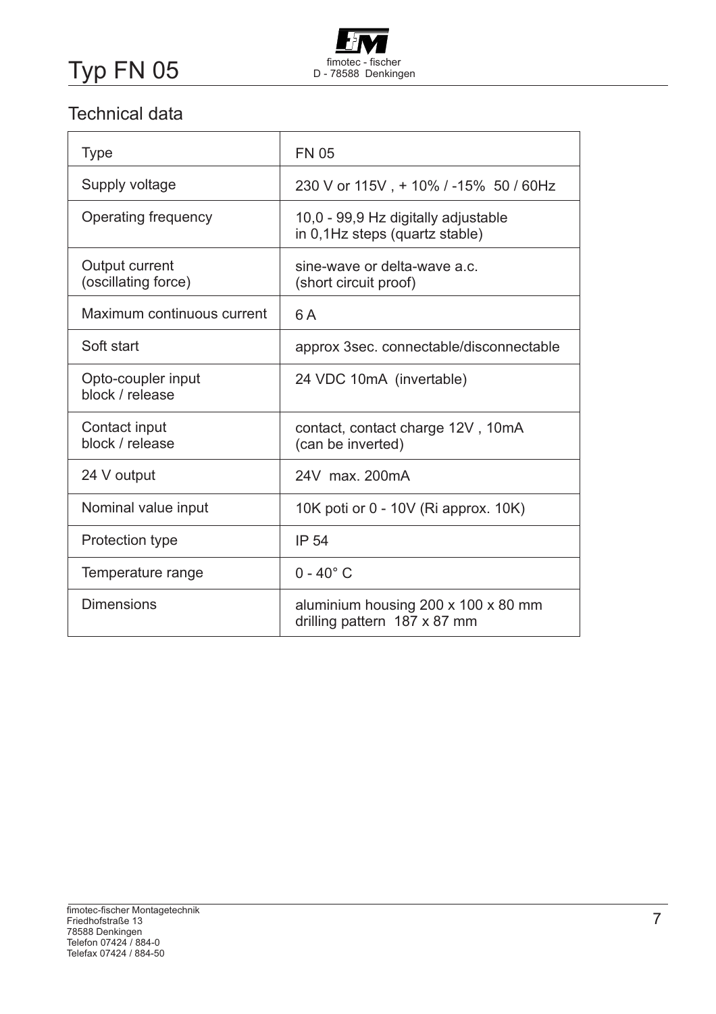

## Technical data

| Type                                  | <b>FN 05</b>                                                          |
|---------------------------------------|-----------------------------------------------------------------------|
| Supply voltage                        | 230 V or 115V, + 10% / -15% 50 / 60Hz                                 |
| Operating frequency                   | 10,0 - 99,9 Hz digitally adjustable<br>in 0,1Hz steps (quartz stable) |
| Output current<br>(oscillating force) | sine-wave or delta-wave a.c.<br>(short circuit proof)                 |
| Maximum continuous current            | 6 A                                                                   |
| Soft start                            | approx 3sec. connectable/disconnectable                               |
| Opto-coupler input<br>block / release | 24 VDC 10mA (invertable)                                              |
| Contact input<br>block / release      | contact, contact charge 12V, 10mA<br>(can be inverted)                |
| 24 V output                           | 24V max. 200mA                                                        |
| Nominal value input                   | 10K poti or 0 - 10V (Ri approx. 10K)                                  |
| Protection type                       | <b>IP 54</b>                                                          |
| Temperature range                     | $0 - 40^{\circ}$ C                                                    |
| <b>Dimensions</b>                     | aluminium housing 200 x 100 x 80 mm<br>drilling pattern 187 x 87 mm   |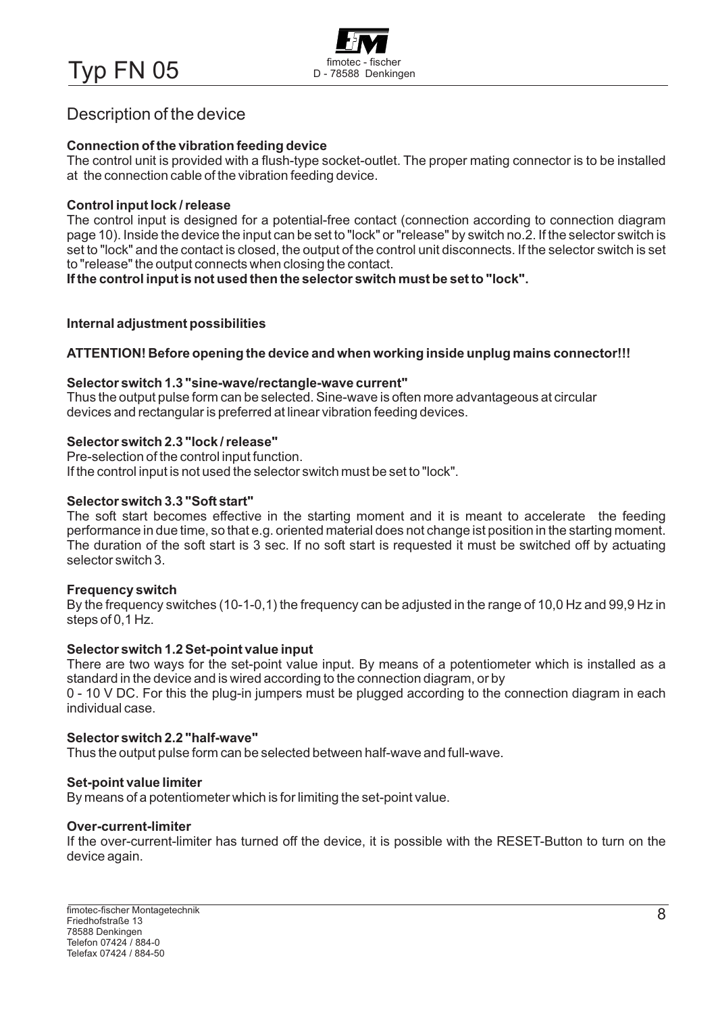Typ FN 05 Manufacture CFISCher D-78588 Denkingen



### Description of the device

#### **Connection of the vibration feeding device**

The control unit is provided with a flush-type socket-outlet. The proper mating connector is to be installed at the connection cable of the vibration feeding device.

#### **Control input lock / release**

The control input is designed for a potential-free contact (connection according to connection diagram page 10). Inside the device the input can be set to "lock" or "release" by switch no.2. If the selector switch is set to "lock" and the contact is closed, the output of the control unit disconnects. If the selector switch is set to "release" the output connects when closing the contact.

**If the control input is not used then the selector switch must be set to "lock".**

#### **Internal adjustment possibilities**

#### **ATTENTION! Before opening the device and when working inside unplug mains connector!!!**

#### **Selector switch 1.3 "sine-wave/rectangle-wave current"**

Thus the output pulse form can be selected. Sine-wave is often more advantageous at circular devices and rectangular is preferred at linear vibration feeding devices.

#### **Selector switch 2.3 "lock / release"**

Pre-selection of the control input function. If the control input is not used the selector switch must be set to "lock".

#### **Selector switch 3.3 "Soft start"**

The soft start becomes effective in the starting moment and it is meant to accelerate the feeding performance in due time, so that e.g. oriented material does not change ist position in the starting moment. The duration of the soft start is 3 sec. If no soft start is requested it must be switched off by actuating selector switch 3.

#### **Frequency switch**

By the frequency switches (10-1-0,1) the frequency can be adjusted in the range of 10,0 Hz and 99,9 Hz in steps of 0,1 Hz.

#### **Selector switch 1.2 Set-point value input**

There are two ways for the set-point value input. By means of a potentiometer which is installed as a standard in the device and is wired according to the connection diagram, or by

0 - 10 V DC. For this the plug-in jumpers must be plugged according to the connection diagram in each individual case.

#### **Selector switch 2.2 "half-wave"**

Thus the output pulse form can be selected between half-wave and full-wave.

#### **Set-point value limiter**

By means of a potentiometer which is for limiting the set-point value.

#### **Over-current-limiter**

If the over-current-limiter has turned off the device, it is possible with the RESET-Button to turn on the device again.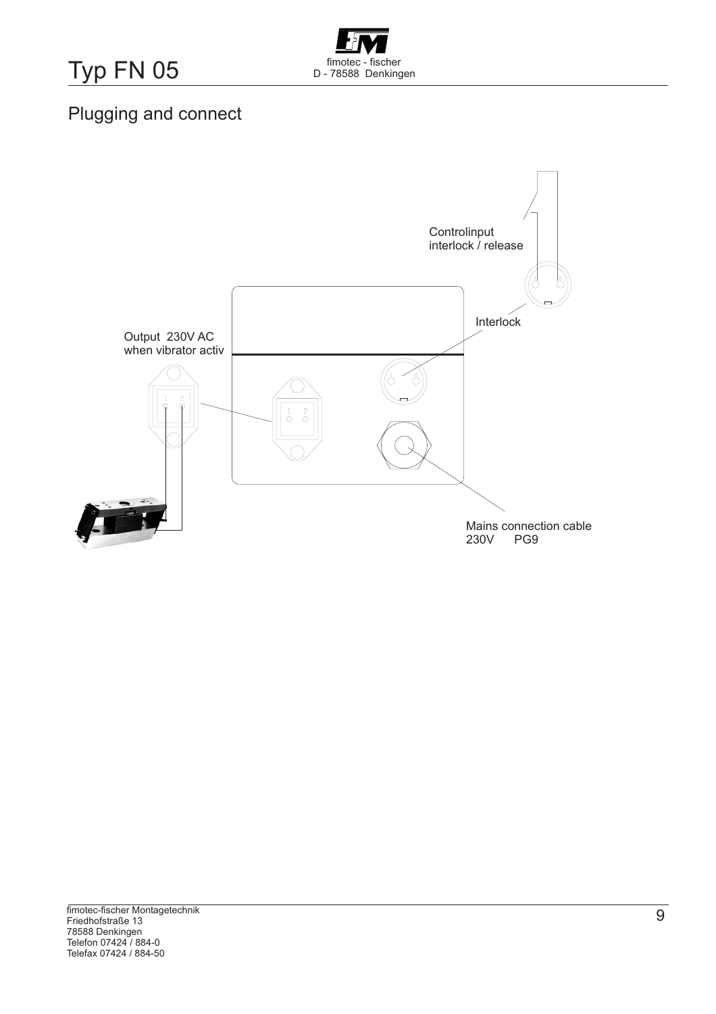Typ FN 05 FIM D - 78588 Denkingen



# Plugging and connect

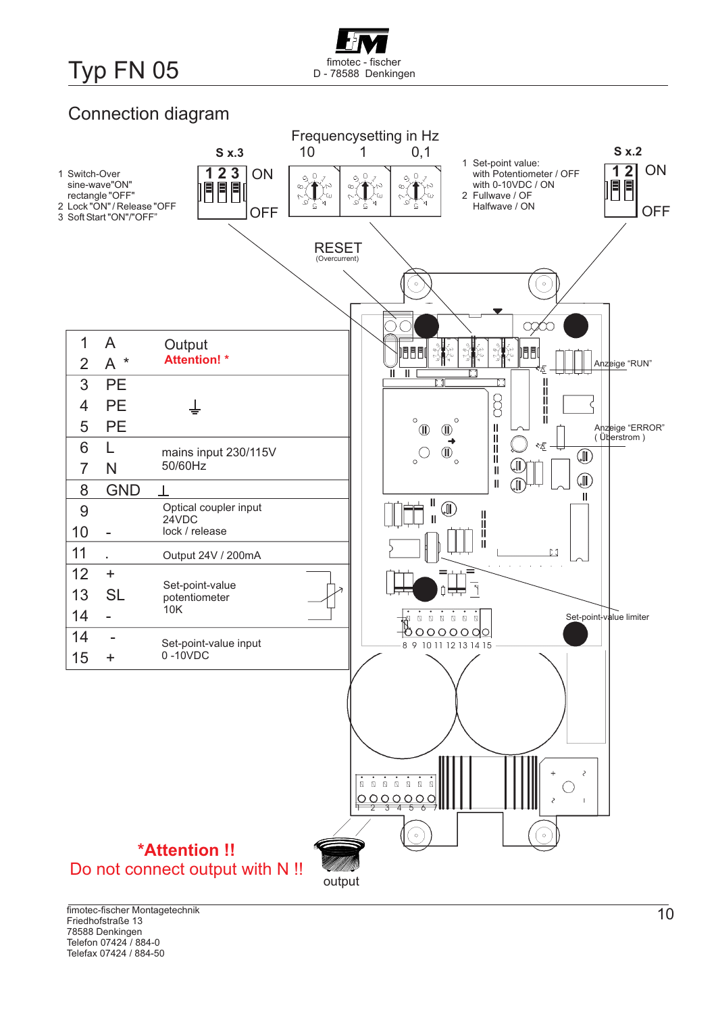# Typ FN 05 FILED - TO STATE TO DETERMIND DETAILS TO DETAIL DETAILS DETAILS DETAILS DETAILS DETAILS DETAILS DETAILS DETAILS DETAILS DETAILS DETAILS DETAILS DETAILS DETAILS DETAILS DETAILS DETAILS DETAILS DETAILS DETAILS DETA

# Connection diagram

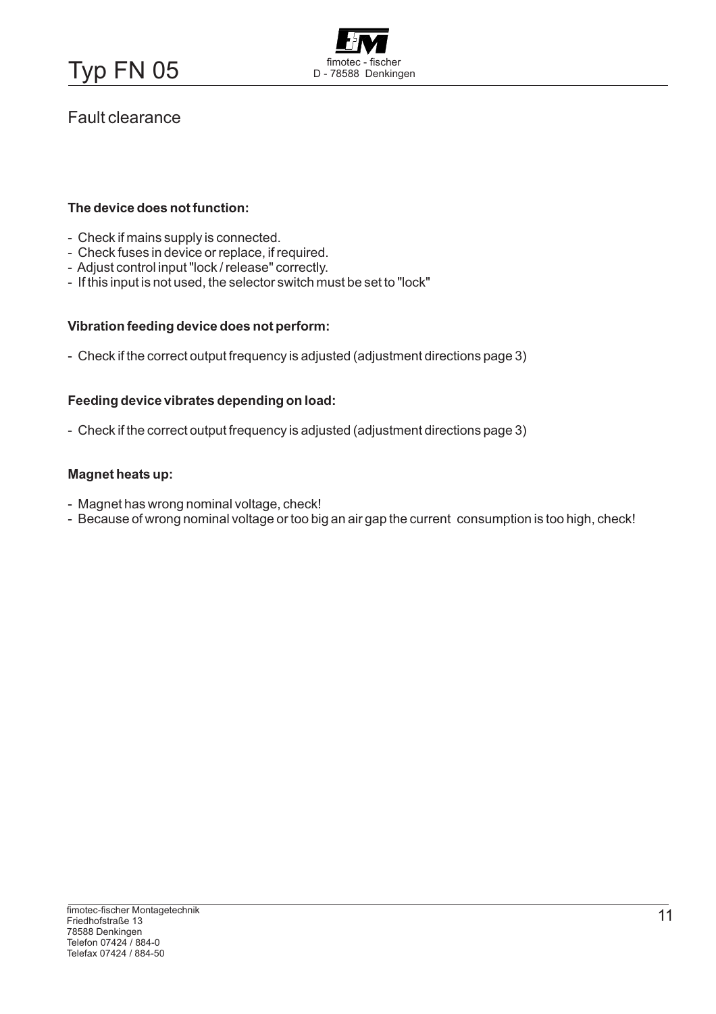

### Fault clearance

#### **The device does not function:**

- Check if mains supply is connected.
- Check fuses in device or replace, if required.
- Adjust control input "lock / release" correctly.
- If this input is not used, the selector switch must be set to "lock"

#### **Vibration feeding device does not perform:**

- Check if the correct output frequency is adjusted (adjustment directions page 3)

#### **Feeding device vibrates depending on load:**

- Check if the correct output frequency is adjusted (adjustment directions page 3)

#### **Magnet heats up:**

- Magnet has wrong nominal voltage, check!
- Because of wrong nominal voltage or too big an air gap the current consumption is too high, check!